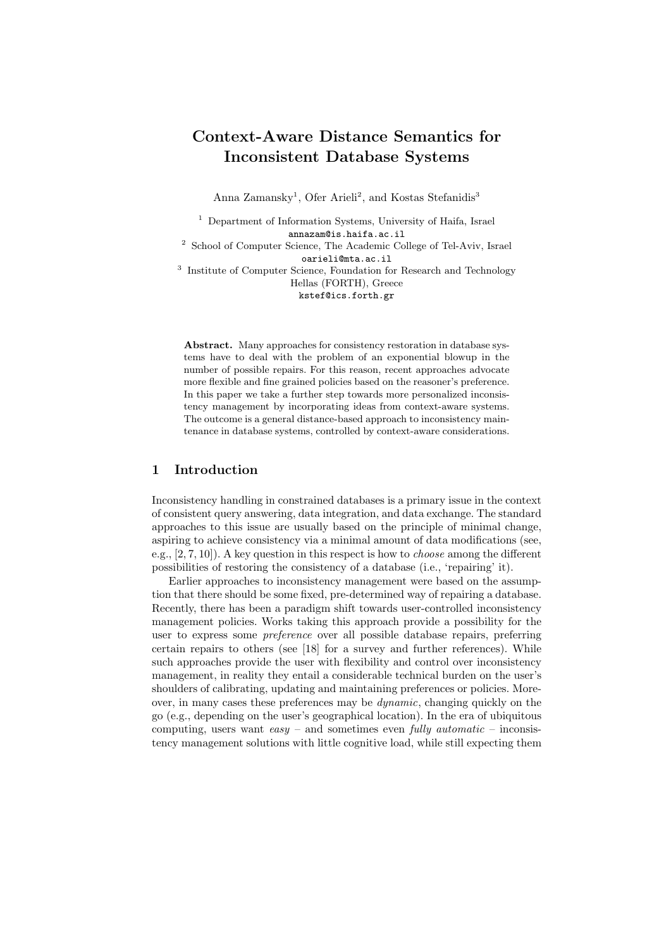# **Context-Aware Distance Semantics for Inconsistent Database Systems**

Anna Zamansky<sup>1</sup>, Ofer Arieli<sup>2</sup>, and Kostas Stefanidis<sup>3</sup>

<sup>1</sup> Department of Information Systems, University of Haifa, Israel annazam@is.haifa.ac.il

<sup>2</sup> School of Computer Science, The Academic College of Tel-Aviv, Israel oarieli@mta.ac.il

<sup>3</sup> Institute of Computer Science, Foundation for Research and Technology Hellas (FORTH), Greece kstef@ics.forth.gr

**Abstract.** Many approaches for consistency restoration in database systems have to deal with the problem of an exponential blowup in the number of possible repairs. For this reason, recent approaches advocate more flexible and fine grained policies based on the reasoner's preference. In this paper we take a further step towards more personalized inconsistency management by incorporating ideas from context-aware systems. The outcome is a general distance-based approach to inconsistency maintenance in database systems, controlled by context-aware considerations.

# **1 Introduction**

Inconsistency handling in constrained databases is a primary issue in the context of consistent query answering, data integration, and data exchange. The standard approaches to this issue are usually based on the principle of minimal change, aspiring to achieve consistency via a minimal amount of data modifications (see, e.g., [2, 7, 10]). A key question in this respect is how to *choose* among the different possibilities of restoring the consistency of a database (i.e., 'repairing' it).

Earlier approaches to inconsistency management were based on the assumption that there should be some fixed, pre-determined way of repairing a database. Recently, there has been a paradigm shift towards user-controlled inconsistency management policies. Works taking this approach provide a possibility for the user to express some *preference* over all possible database repairs, preferring certain repairs to others (see [18] for a survey and further references). While such approaches provide the user with flexibility and control over inconsistency management, in reality they entail a considerable technical burden on the user's shoulders of calibrating, updating and maintaining preferences or policies. Moreover, in many cases these preferences may be *dynamic*, changing quickly on the go (e.g., depending on the user's geographical location). In the era of ubiquitous computing, users want *easy* – and sometimes even *fully automatic* – inconsistency management solutions with little cognitive load, while still expecting them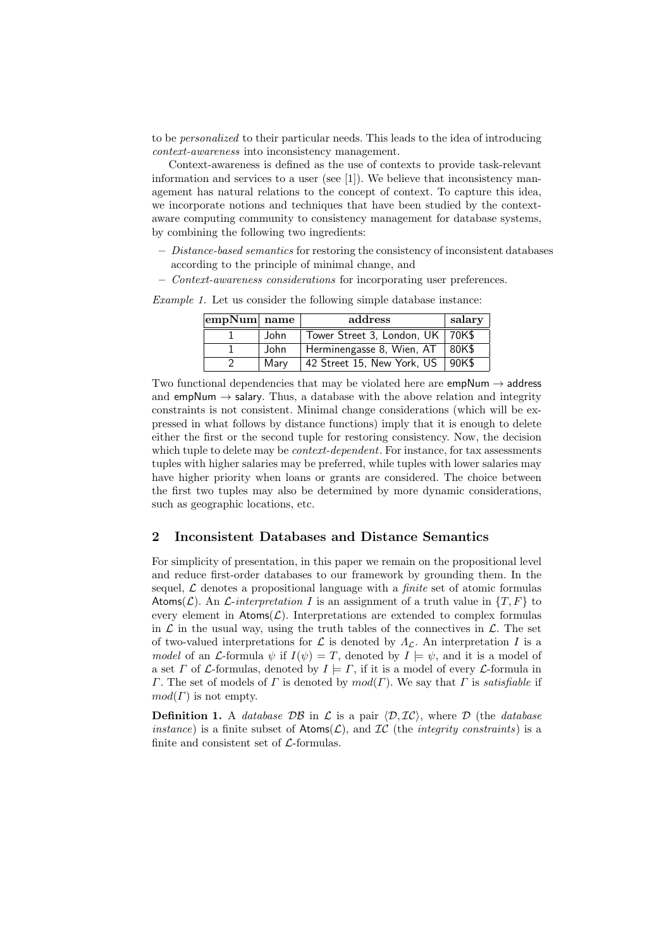to be *personalized* to their particular needs. This leads to the idea of introducing *context-awareness* into inconsistency management.

Context-awareness is defined as the use of contexts to provide task-relevant information and services to a user (see [1]). We believe that inconsistency management has natural relations to the concept of context. To capture this idea, we incorporate notions and techniques that have been studied by the contextaware computing community to consistency management for database systems, by combining the following two ingredients:

- **–** *Distance-based semantics* for restoring the consistency of inconsistent databases according to the principle of minimal change, and
- **–** *Context-awareness considerations* for incorporating user preferences.

| empNum name |      | address                            | salary |
|-------------|------|------------------------------------|--------|
|             | John | Tower Street 3, London, UK   70K\$ |        |
|             | John | Herminengasse 8, Wien, AT          | 80K\$  |
|             | Marv | 42 Street 15, New York, US         | 90K\$  |

*Example 1.* Let us consider the following simple database instance:

Two functional dependencies that may be violated here are empNum *→* address and empNum  $\rightarrow$  salary. Thus, a database with the above relation and integrity constraints is not consistent. Minimal change considerations (which will be expressed in what follows by distance functions) imply that it is enough to delete either the first or the second tuple for restoring consistency. Now, the decision which tuple to delete may be *context-dependent*. For instance, for tax assessments tuples with higher salaries may be preferred, while tuples with lower salaries may have higher priority when loans or grants are considered. The choice between the first two tuples may also be determined by more dynamic considerations, such as geographic locations, etc.

# **2 Inconsistent Databases and Distance Semantics**

For simplicity of presentation, in this paper we remain on the propositional level and reduce first-order databases to our framework by grounding them. In the sequel,  $\mathcal L$  denotes a propositional language with a *finite* set of atomic formulas Atoms( $\mathcal{L}$ ). An  $\mathcal{L}\text{-}interpretation I$  is an assignment of a truth value in  $\{T, F\}$  to every element in  $\text{Atoms}(\mathcal{L})$ . Interpretations are extended to complex formulas in  $\mathcal L$  in the usual way, using the truth tables of the connectives in  $\mathcal L$ . The set of two-valued interpretations for  $\mathcal L$  is denoted by  $\Lambda_{\mathcal L}$ . An interpretation *I* is a *model* of an *L*-formula  $\psi$  if  $I(\psi) = T$ , denoted by  $I \models \psi$ , and it is a model of a set *Γ* of *L*-formulas, denoted by  $I \models \Gamma$ , if it is a model of every *L*-formula in *Γ*. The set of models of *Γ* is denoted by *mod*(*Γ*). We say that *Γ* is *satisfiable* if  $mod(\Gamma)$  is not empty.

**Definition 1.** A *database*  $\mathcal{DB}$  in  $\mathcal{L}$  is a pair  $\langle \mathcal{D}, \mathcal{IC} \rangle$ , where  $\mathcal{D}$  (the *database instance*) is a finite subset of  $Atoms(\mathcal{L})$ , and  $IC$  (the *integrity constraints*) is a finite and consistent set of *L*-formulas.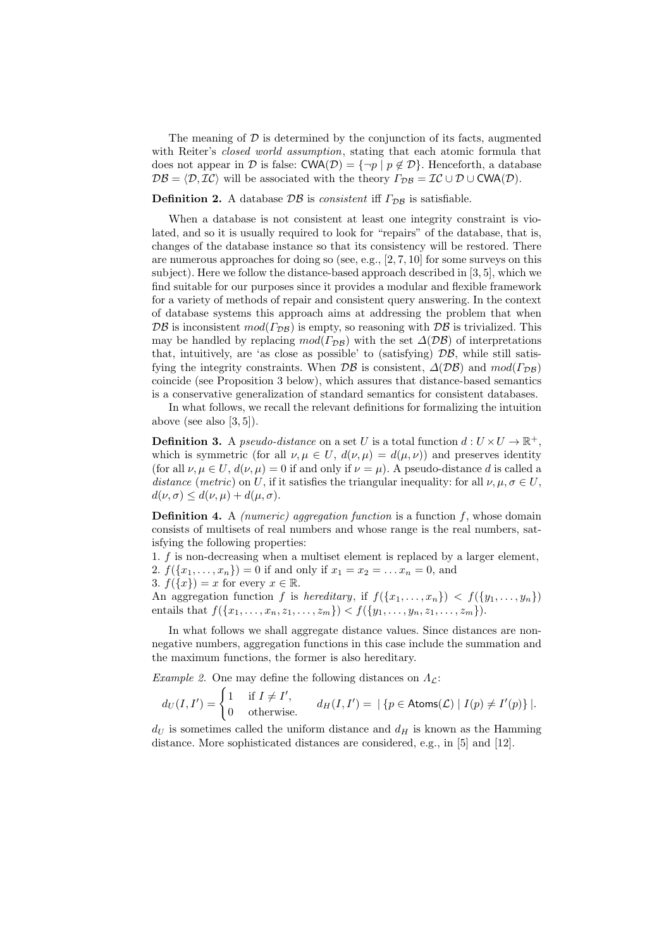The meaning of  $D$  is determined by the conjunction of its facts, augmented with Reiter's *closed world assumption*, stating that each atomic formula that does not appear in *D* is false:  $CWA(D) = \{\neg p \mid p \notin D\}$ . Henceforth, a database  $\mathcal{DB} = \langle \mathcal{D}, \mathcal{IC} \rangle$  will be associated with the theory  $\Gamma_{\mathcal{DB}} = \mathcal{IC} \cup \mathcal{D} \cup \text{CWA}(\mathcal{D})$ .

#### **Definition 2.** A database  $\mathcal{DB}$  is *consistent* iff  $\Gamma_{\mathcal{DB}}$  is satisfiable.

When a database is not consistent at least one integrity constraint is violated, and so it is usually required to look for "repairs" of the database, that is, changes of the database instance so that its consistency will be restored. There are numerous approaches for doing so (see, e.g., [2, 7, 10] for some surveys on this subject). Here we follow the distance-based approach described in [3, 5], which we find suitable for our purposes since it provides a modular and flexible framework for a variety of methods of repair and consistent query answering. In the context of database systems this approach aims at addressing the problem that when  $\mathcal{DB}$  is inconsistent  $mod(\Gamma_{\mathcal{DB}})$  is empty, so reasoning with  $\mathcal{DB}$  is trivialized. This may be handled by replacing  $mod(\Gamma_{\mathcal{DB}})$  with the set  $\Delta(\mathcal{DB})$  of interpretations that, intuitively, are 'as close as possible' to (satisfying)  $\mathcal{DB}$ , while still satisfying the integrity constraints. When  $\mathcal{DB}$  is consistent,  $\Delta(\mathcal{DB})$  and  $mod(\Gamma_{\mathcal{DB}})$ coincide (see Proposition 3 below), which assures that distance-based semantics is a conservative generalization of standard semantics for consistent databases.

In what follows, we recall the relevant definitions for formalizing the intuition above (see also [3, 5]).

**Definition 3.** A *pseudo-distance* on a set *U* is a total function  $d: U \times U \rightarrow \mathbb{R}^+$ , which is symmetric (for all  $\nu, \mu \in U$ ,  $d(\nu, \mu) = d(\mu, \nu)$ ) and preserves identity (for all  $\nu, \mu \in U$ ,  $d(\nu, \mu) = 0$  if and only if  $\nu = \mu$ ). A pseudo-distance *d* is called a *distance* (*metric*) on *U*, if it satisfies the triangular inequality: for all  $\nu, \mu, \sigma \in U$ ,  $d(\nu, \sigma) \leq d(\nu, \mu) + d(\mu, \sigma).$ 

**Definition 4.** A *(numeric) aggregation function* is a function *f*, whose domain consists of multisets of real numbers and whose range is the real numbers, satisfying the following properties:

1. *f* is non-decreasing when a multiset element is replaced by a larger element, 2.  $f(\{x_1, \ldots, x_n\}) = 0$  if and only if  $x_1 = x_2 = \ldots x_n = 0$ , and

3. 
$$
f({x}) = x
$$
 for every  $x \in \mathbb{R}$ .

An aggregation function *f* is *hereditary*, if  $f(\{x_1, \ldots, x_n\}) \leq f(\{y_1, \ldots, y_n\})$ entails that  $f(\{x_1, \ldots, x_n, z_1, \ldots, z_m\}) \leq f(\{y_1, \ldots, y_n, z_1, \ldots, z_m\}).$ 

In what follows we shall aggregate distance values. Since distances are nonnegative numbers, aggregation functions in this case include the summation and the maximum functions, the former is also hereditary.

*Example 2.* One may define the following distances on *ΛL*:

$$
d_U(I, I') = \begin{cases} 1 & \text{if } I \neq I', \\ 0 & \text{otherwise.} \end{cases} \qquad d_H(I, I') = | \{ p \in \text{Atoms}(\mathcal{L}) | I(p) \neq I'(p) \} |.
$$

 $d<sub>U</sub>$  is sometimes called the uniform distance and  $d<sub>H</sub>$  is known as the Hamming distance. More sophisticated distances are considered, e.g., in [5] and [12].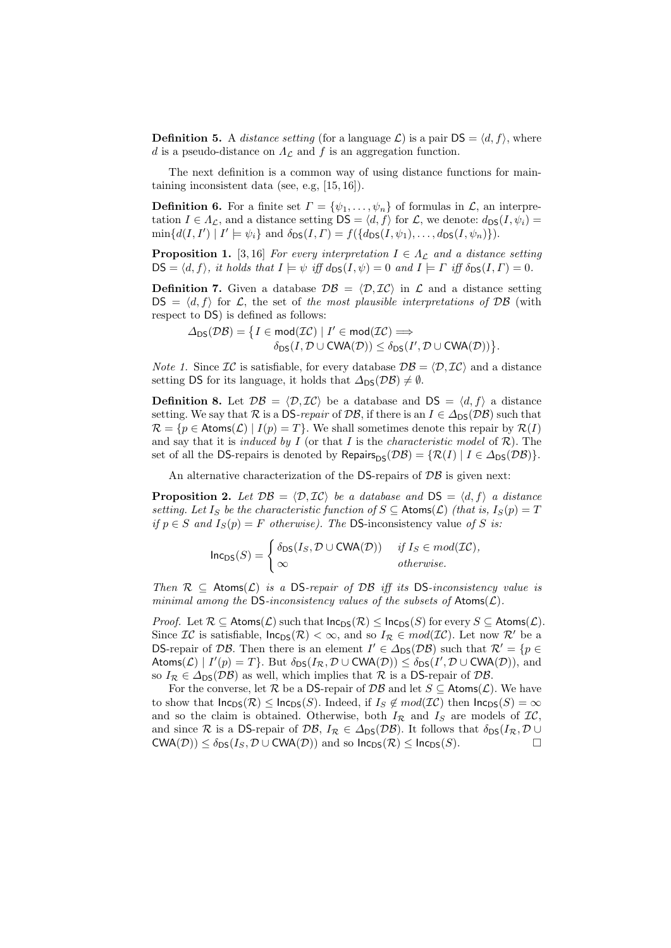**Definition 5.** A *distance setting* (for a language  $\mathcal{L}$ ) is a pair  $DS = \langle d, f \rangle$ , where *d* is a pseudo-distance on *Λ<sup>L</sup>* and *f* is an aggregation function.

The next definition is a common way of using distance functions for maintaining inconsistent data (see, e.g, [15, 16]).

**Definition 6.** For a finite set  $\Gamma = {\psi_1, \dots, \psi_n}$  of formulas in  $\mathcal{L}$ , an interpretation  $I \in A_{\mathcal{L}}$ , and a distance setting  $DS = \langle d, f \rangle$  for  $\mathcal{L}$ , we denote:  $d_{DS}(I, \psi_i) =$  $\min\{d(I, I') | I' \models \psi_i\}$  and  $\delta_{DS}(I, \Gamma) = f(\{d_{DS}(I, \psi_1), \dots, d_{DS}(I, \psi_n)\}).$ 

**Proposition 1.** [3, 16] *For every interpretation*  $I \in \Lambda_C$  *and a distance setting*  $DS = \langle d, f \rangle$ , it holds that  $I \models \psi$  iff  $d_{DS}(I, \psi) = 0$  and  $I \models \Gamma$  iff  $\delta_{DS}(I, \Gamma) = 0$ .

**Definition 7.** Given a database  $\mathcal{DB} = \langle \mathcal{D}, \mathcal{IC} \rangle$  in  $\mathcal{L}$  and a distance setting  $DS = \langle d, f \rangle$  for *L*, the set of the most plausible interpretations of DB (with respect to DS) is defined as follows:

$$
\Delta_{\text{DS}}(\mathcal{DB}) = \left\{ I \in \text{mod}(\mathcal{IC}) \mid I' \in \text{mod}(\mathcal{IC}) \implies \right. \\ \left. \delta_{\text{DS}}(I, \mathcal{D} \cup \text{CWA}(\mathcal{D})) \leq \delta_{\text{DS}}(I', \mathcal{D} \cup \text{CWA}(\mathcal{D})) \right\}.
$$

*Note 1.* Since  $I\mathcal{C}$  is satisfiable, for every database  $\mathcal{DB} = \langle \mathcal{D}, \mathcal{IC} \rangle$  and a distance setting DS for its language, it holds that  $\Delta_{DS}(DB) \neq \emptyset$ .

**Definition 8.** Let  $\mathcal{DB} = \langle \mathcal{D}, \mathcal{IC} \rangle$  be a database and  $DS = \langle d, f \rangle$  a distance setting. We say that  $\mathcal{R}$  is a DS-repair of  $\mathcal{DB}$ , if there is an  $I \in \Delta_{DS}(\mathcal{DB})$  such that  $\mathcal{R} = \{p \in \text{Atoms}(\mathcal{L}) \mid I(p) = T\}$ . We shall sometimes denote this repair by  $\mathcal{R}(I)$ and say that it is *induced by*  $I$  (or that  $I$  is the *characteristic model* of  $R$ ). The set of all the DS-repairs is denoted by Repairs<sub>DS</sub>( $\mathcal{DB}$ ) = { $\mathcal{R}(I) | I \in \Delta_{DS}(\mathcal{DB})$ }.

An alternative characterization of the DS-repairs of *DB* is given next:

**Proposition 2.** Let  $\mathcal{DB} = \langle \mathcal{D}, \mathcal{IC} \rangle$  be a database and  $DS = \langle d, f \rangle$  a distance *setting. Let*  $I_S$  *be the characteristic function of*  $S \subseteq$  Atoms( $\mathcal{L}$ ) *(that is,*  $I_S(p) = T$ *if*  $p \in S$  *and*  $I_S(p) = F$  *otherwise*). The DS-inconsistency value *of S is:* 

$$
\mathrm{Inc}_{\mathsf{DS}}(S) = \begin{cases} \delta_{\mathsf{DS}}(I_S, \mathcal{D} \cup \mathsf{CWA}(\mathcal{D})) & \text{if } I_S \in \mathit{mod}(\mathcal{IC}), \\ \infty & \text{otherwise.} \end{cases}
$$

*Then R ⊆* Atoms(*L*) *is a* DS*-repair of DB iff its* DS*-inconsistency value is minimal among the* DS*-inconsistency values of the subsets of* Atoms(*L*)*.*

*Proof.* Let  $\mathcal{R} \subseteq \text{Atoms}(\mathcal{L})$  such that  $\text{Inc}_{\text{DS}}(\mathcal{R}) \leq \text{Inc}_{\text{DS}}(S)$  for every  $S \subseteq \text{Atoms}(\mathcal{L})$ . Since *IC* is satisfiable,  $\text{Inc}_{DS}(\mathcal{R}) < \infty$ , and so  $I_{\mathcal{R}} \in \text{mod}(\mathcal{I}\mathcal{C})$ . Let now  $\mathcal{R}'$  be a DS-repair of *DB*. Then there is an element  $I' \in \Delta_{DS}(\mathcal{DB})$  such that  $\mathcal{R}' = \{p \in I\}$  $\mathsf{Atoms}(\mathcal{L}) \mid I'(p) = T\}$ . But  $\delta_{\mathsf{DS}}(I_{\mathcal{R}}, \mathcal{D} \cup \mathsf{CWA}(\mathcal{D})) \leq \delta_{\mathsf{DS}}(I', \mathcal{D} \cup \mathsf{CWA}(\mathcal{D}))$ , and so  $I_R \in \Delta_{DS}(\mathcal{DB})$  as well, which implies that  $R$  is a DS-repair of  $\mathcal{DB}$ .

For the converse, let  $\mathcal R$  be a DS-repair of  $\mathcal{DB}$  and let  $S \subseteq$  Atoms( $\mathcal L$ ). We have to show that  $\mathsf{Inc}_{DS}(\mathcal{R}) \leq \mathsf{Inc}_{DS}(S)$ . Indeed, if  $I_S \notin \mathsf{mod}(\mathcal{IC})$  then  $\mathsf{Inc}_{DS}(S) = \infty$ and so the claim is obtained. Otherwise, both  $I_{\mathcal{R}}$  and  $I_S$  are models of  $\mathcal{IC}$ , and since  $\mathcal{R}$  is a DS-repair of  $\mathcal{DB}, I_{\mathcal{R}} \in \Delta_{DS}(\mathcal{DB})$ . It follows that  $\delta_{DS}(I_{\mathcal{R}}, \mathcal{D} \cup$  $\text{CWA}(\mathcal{D})$ )  $\leq \delta_{\text{DS}}(I_S, \mathcal{D} \cup \text{CWA}(\mathcal{D}))$  and so  $\text{Inc}_{\text{DS}}(\mathcal{R}) \leq \text{Inc}_{\text{DS}}(S)$ .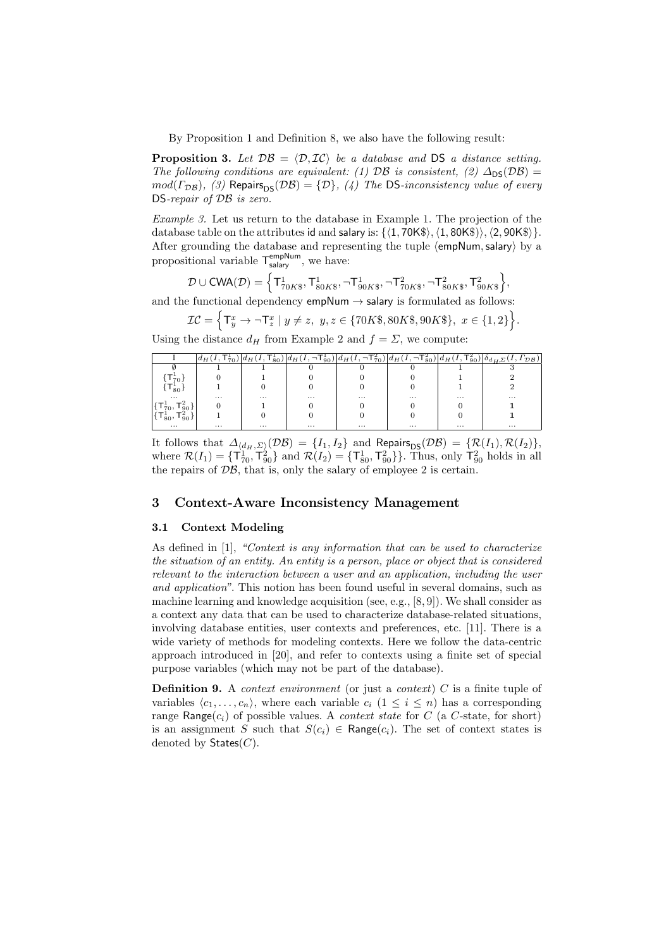By Proposition 1 and Definition 8, we also have the following result:

**Proposition 3.** Let  $\mathcal{DB} = \langle \mathcal{D}, \mathcal{IC} \rangle$  be a database and DS a distance setting. *The following conditions are equivalent: (1)*  $\mathcal{DB}$  *is consistent, (2)*  $\Delta_{\text{DS}}(\mathcal{DB})$  =  $mod(\Gamma_{\text{DB}})$ , (3) Repairs<sub>DS</sub>(*DB*) = {*D*}, (4) The DS-inconsistency value of every DS*-repair of DB is zero.*

*Example 3.* Let us return to the database in Example 1. The projection of the database table on the attributes id and salary is: *{⟨*1*,* 70K\$*⟩,⟨*1*,* 80K\$)*⟩,⟨*2*,* 90K\$*⟩}*. After grounding the database and representing the tuple *⟨*empNum*,*salary*⟩* by a propositional variable  $\mathsf{T}_{\text{salary}}^{\text{empNum}},$  we have:

$$
\mathcal{D} \cup \text{CWA}(\mathcal{D}) = \Big\{ T_{70K\$}^1, T_{80K\$}^1, \neg T_{90K\$}^1, \neg T_{70K\$}^2, \neg T_{80K\$}^2, T_{90K\$}^2 \Big\},
$$

and the functional dependency  $\mathsf{empNum} \to \mathsf{salary}$  is formulated as follows:

$$
\mathcal{IC} = \Big\{ \mathsf{T}^x_y \to \neg \mathsf{T}^x_z \mid y \neq z, \ y, z \in \{70K\$, 80K\$, 90K\$,}, \ x \in \{1, 2\} \Big\}.
$$

Using the distance  $d_H$  from Example 2 and  $f = \Sigma$ , we compute:

|            | $ d_H($  | ан<br>80 | $ d_H $  |          |          |          | $ \mathrm{T}_{90}^1) d_H(I,\neg \mathrm{T}_{70}^2) d_H(I,\neg \mathrm{T}_{80}^2) d_H(I,\mathrm{T}_{90}^2) \delta_{d_H,\Sigma}(I,\varGamma_{\mathcal{DB}}) $ |
|------------|----------|----------|----------|----------|----------|----------|-------------------------------------------------------------------------------------------------------------------------------------------------------------|
|            |          |          |          |          |          |          |                                                                                                                                                             |
|            |          |          |          |          |          |          |                                                                                                                                                             |
| 80         |          |          |          |          |          |          |                                                                                                                                                             |
| $\cdots$   | $\cdots$ | $\cdots$ | $\cdots$ | $\cdots$ | $\cdots$ | $\cdots$ | $\cdots$                                                                                                                                                    |
|            |          |          |          |          |          |          |                                                                                                                                                             |
| 90.<br>80, |          |          |          |          |          |          |                                                                                                                                                             |
| $\cdots$   | $\cdots$ | $\cdots$ | $\cdots$ | $\cdots$ | $\cdots$ | $\cdots$ | $\cdots$                                                                                                                                                    |

It follows that  $\Delta_{\langle d_H, \Sigma \rangle}(\mathcal{DB}) = \{I_1, I_2\}$  and Repairs<sub>DS</sub>( $\mathcal{DB}) = \{\mathcal{R}(I_1), \mathcal{R}(I_2)\},\$ where  $\mathcal{R}(I_1) = \{\mathsf{T}_{70}^1, \mathsf{T}_{90}^2\}$  and  $\mathcal{R}(I_2) = \{\mathsf{T}_{80}^1, \mathsf{T}_{90}^2\}$ . Thus, only  $\mathsf{T}_{90}^2$  holds in all the repairs of  $\mathcal{DB}$ , that is, only the salary of employee 2 is certain.

## **3 Context-Aware Inconsistency Management**

### **3.1 Context Modeling**

As defined in [1], *"Context is any information that can be used to characterize the situation of an entity. An entity is a person, place or object that is considered relevant to the interaction between a user and an application, including the user and application"*. This notion has been found useful in several domains, such as machine learning and knowledge acquisition (see, e.g., [8, 9]). We shall consider as a context any data that can be used to characterize database-related situations, involving database entities, user contexts and preferences, etc. [11]. There is a wide variety of methods for modeling contexts. Here we follow the data-centric approach introduced in [20], and refer to contexts using a finite set of special purpose variables (which may not be part of the database).

**Definition 9.** A *context environment* (or just a *context*) *C* is a finite tuple of variables  $\langle c_1, \ldots, c_n \rangle$ , where each variable  $c_i$  ( $1 \leq i \leq n$ ) has a corresponding range  $Range(c_i)$  of possible values. A *context state* for *C* (a *C*-state, for short) is an assignment *S* such that  $S(c_i) \in \text{Range}(c_i)$ . The set of context states is denoted by States(*C*).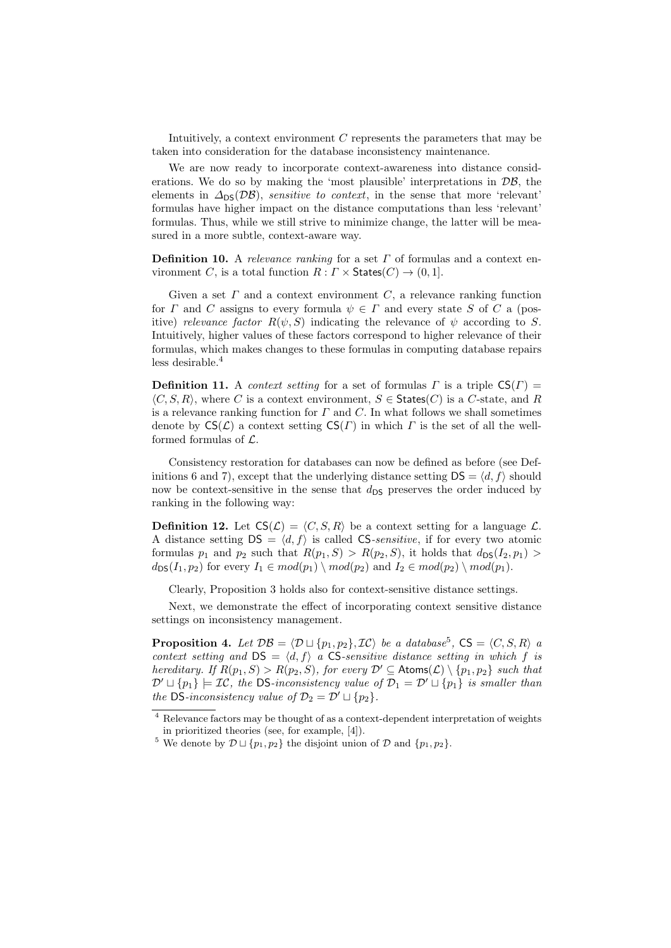Intuitively, a context environment *C* represents the parameters that may be taken into consideration for the database inconsistency maintenance.

We are now ready to incorporate context-awareness into distance considerations. We do so by making the 'most plausible' interpretations in *DB*, the elements in  $\Delta_{DS}(DB)$ , *sensitive to context*, in the sense that more 'relevant' formulas have higher impact on the distance computations than less 'relevant' formulas. Thus, while we still strive to minimize change, the latter will be measured in a more subtle, context-aware way.

**Definition 10.** A *relevance ranking* for a set *Γ* of formulas and a context environment *C*, is a total function  $R: \Gamma \times \text{States}(C) \to (0,1].$ 

Given a set *Γ* and a context environment *C*, a relevance ranking function for *Γ* and *C* assigns to every formula  $\psi \in \Gamma$  and every state *S* of *C* a (positive) *relevance factor*  $R(\psi, S)$  indicating the relevance of  $\psi$  according to *S*. Intuitively, higher values of these factors correspond to higher relevance of their formulas, which makes changes to these formulas in computing database repairs less desirable.<sup>4</sup>

**Definition 11.** A *context setting* for a set of formulas *Γ* is a triple  $CS(\Gamma)$  =  $\langle C, S, R \rangle$ , where *C* is a context environment,  $S \in \text{States}(C)$  is a *C*-state, and *R* is a relevance ranking function for *Γ* and *C*. In what follows we shall sometimes denote by  $\mathsf{CS}(\mathcal{L})$  a context setting  $\mathsf{CS}(\Gamma)$  in which  $\Gamma$  is the set of all the wellformed formulas of *L*.

Consistency restoration for databases can now be defined as before (see Definitions 6 and 7), except that the underlying distance setting  $DS = \langle d, f \rangle$  should now be context-sensitive in the sense that  $d_{DS}$  preserves the order induced by ranking in the following way:

**Definition 12.** Let  $CS(\mathcal{L}) = \langle C, S, R \rangle$  be a context setting for a language  $\mathcal{L}$ . A distance setting  $DS = \langle d, f \rangle$  is called CS-sensitive, if for every two atomic formulas  $p_1$  and  $p_2$  such that  $R(p_1, S) > R(p_2, S)$ , it holds that  $d_{DS}(I_2, p_1) >$  $d_{DS}(I_1, p_2)$  for every  $I_1 \in mod(p_1) \setminus mod(p_2)$  and  $I_2 \in mod(p_2) \setminus mod(p_1)$ .

Clearly, Proposition 3 holds also for context-sensitive distance settings.

Next, we demonstrate the effect of incorporating context sensitive distance settings on inconsistency management.

**Proposition 4.** Let  $\mathcal{DB} = \langle \mathcal{D} \sqcup \{p_1, p_2\}, \mathcal{IC} \rangle$  be a database<sup>5</sup>,  $CS = \langle C, S, R \rangle$  a *context setting and*  $DS = \langle d, f \rangle$  *a* CS-sensitive distance setting in which f is *hereditary. If*  $R(p_1, S) > R(p_2, S)$ *, for every*  $\mathcal{D}' \subseteq$  Atoms( $\mathcal{L}$ )  $\setminus \{p_1, p_2\}$  *such that*  $\mathcal{D}' \sqcup \{p_1\} \models \mathcal{IC},$  the DS-inconsistency value of  $\mathcal{D}_1 = \mathcal{D}' \sqcup \{p_1\}$  is smaller than *the* DS-inconsistency value of  $\mathcal{D}_2 = \mathcal{D}' \sqcup \{p_2\}.$ 

<sup>4</sup> Relevance factors may be thought of as a context-dependent interpretation of weights in prioritized theories (see, for example, [4]).

<sup>&</sup>lt;sup>5</sup> We denote by  $\mathcal{D} \sqcup \{p_1, p_2\}$  the disjoint union of  $\mathcal{D}$  and  $\{p_1, p_2\}$ .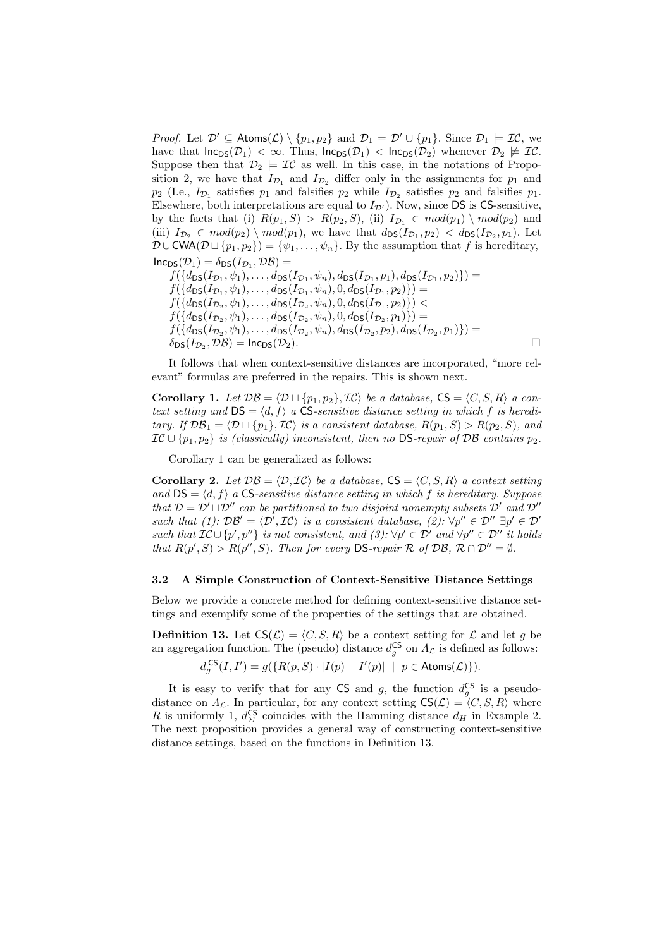*Proof.* Let  $\mathcal{D}' \subseteq$  Atoms $(\mathcal{L}) \setminus \{p_1, p_2\}$  and  $\mathcal{D}_1 = \mathcal{D}' \cup \{p_1\}$ . Since  $\mathcal{D}_1 \models \mathcal{IC}$ , we have that  $\text{Inc}_{DS}(\mathcal{D}_1) < \infty$ . Thus,  $\text{Inc}_{DS}(\mathcal{D}_1) < \text{Inc}_{DS}(\mathcal{D}_2)$  whenever  $\mathcal{D}_2 \not\models \mathcal{IC}$ . Suppose then that  $\mathcal{D}_2 \models \mathcal{IC}$  as well. In this case, in the notations of Proposition 2, we have that  $I_{\mathcal{D}_1}$  and  $I_{\mathcal{D}_2}$  differ only in the assignments for  $p_1$  and  $p_2$  (I.e.,  $I_{\mathcal{D}_1}$  satisfies  $p_1$  and falsifies  $p_2$  while  $I_{\mathcal{D}_2}$  satisfies  $p_2$  and falsifies  $p_1$ . Elsewhere, both interpretations are equal to  $I_{\mathcal{D}'}$ ). Now, since DS is CS-sensitive, by the facts that (i)  $R(p_1, S) > R(p_2, S)$ , (ii)  $I_{\mathcal{D}_1} \in \mathcal{m}od(p_1) \setminus \mathcal{m}od(p_2)$  and (iii)  $I_{\mathcal{D}_2} \in \mathcal{D}(p_2) \setminus \mathcal{D}(p_1)$ , we have that  $d_{\mathsf{DS}}(I_{\mathcal{D}_1}, p_2) < d_{\mathsf{DS}}(I_{\mathcal{D}_2}, p_1)$ . Let  $\mathcal{D} \cup \text{CWA}(\mathcal{D} \sqcup \{p_1, p_2\}) = \{\psi_1, \ldots, \psi_n\}$ . By the assumption that *f* is hereditary,

$$
\mathsf{Inc}_\mathsf{DS}(\mathcal{D}_1) = \delta_\mathsf{DS}(I_{\mathcal{D}_1}, \mathcal{DB}) =
$$

 $f({d_{DS}(I_{\mathcal{D}_1}, \psi_1), \ldots, d_{DS}(I_{\mathcal{D}_1}, \psi_n), d_{DS}(I_{\mathcal{D}_1}, p_1), d_{DS}(I_{\mathcal{D}_1}, p_2)}$ )  $f({a_{DS}(I_{D_1}, \psi_1), \ldots, a_{DS}(I_{D_1}, \psi_n), 0, d_{DS}(I_{D_1}, p_2)}$ ))  $f(\{d_{\text{DS}}(I_{\mathcal{D}_2}, \psi_1), \dots, d_{\text{DS}}(I_{\mathcal{D}_2}, \psi_n), 0, d_{\text{DS}}(I_{\mathcal{D}_1}, p_2)\})$  $f({d_{DS}(I_{D_2}, \psi_1), \ldots, d_{DS}(I_{D_2}, \psi_n), 0, d_{DS}(I_{D_2}, p_1)}$ )  $f$ ({ $d$ <sub>DS</sub>( $I$ <sub>*D*2</sub></sub>, $\psi$ <sub>1</sub>),..., $d$ <sub>DS</sub>( $I$ <sub>*D*<sub>2</sub></sub>, $\psi$ <sub>*n*</sub>)</sub>, $d$ <sub>DS</sub>( $I$ <sub>*D*<sub>2</sub></sub>, $p$ <sub>1</sub>)<sub></sub>)<sub></sub>)) =  $\delta_{\text{DS}}(I_{\mathcal{D}_2}, \mathcal{D}\mathcal{B}) = \text{Inc}_{\text{DS}}(\mathcal{D}_2).$ 

It follows that when context-sensitive distances are incorporated, "more relevant" formulas are preferred in the repairs. This is shown next.

**Corollary 1.** *Let*  $\mathcal{DB} = \langle \mathcal{D} \cup \{p_1, p_2\}, \mathcal{IC} \rangle$  *be a database,*  $CS = \langle C, S, R \rangle$  *a context setting and*  $DS = \langle d, f \rangle$  *a* CS-sensitive distance setting in which f is heredi*tary. If*  $\mathcal{DB}_1 = \langle \mathcal{D} \cup \{p_1\}, \mathcal{IC} \rangle$  *is a consistent database,*  $R(p_1, S) > R(p_2, S)$ *, and*  $IC \cup \{p_1, p_2\}$  *is (classically) inconsistent, then no* DS-repair of DB contains  $p_2$ .

Corollary 1 can be generalized as follows:

**Corollary 2.** Let  $\mathcal{DB} = \langle \mathcal{D}, \mathcal{IC} \rangle$  be a database,  $CS = \langle C, S, R \rangle$  a context setting *and*  $DS = \langle d, f \rangle$  *a* CS-sensitive distance setting in which f is hereditary. Suppose *that*  $D = D' \sqcup D''$  *can be partitioned to two disjoint nonempty subsets*  $D'$  *and*  $D''$ *such that (1):*  $\mathcal{DB}' = \langle \mathcal{D}', \mathcal{IC} \rangle$  *is a consistent database, (2):*  $\forall p'' \in \mathcal{D}'' \exists p' \in \mathcal{D}'$ such that  $\mathcal{IC} \cup \{p', p''\}$  is not consistent, and  $(3): \forall p' \in \mathcal{D}'$  and  $\forall p'' \in \mathcal{D}''$  it holds *that*  $R(p', S) > R(p'', S)$ *. Then for every* DS-repair  $R$  *of*  $DB$ *,*  $R \cap D'' = \emptyset$ *.* 

# **3.2 A Simple Construction of Context-Sensitive Distance Settings**

Below we provide a concrete method for defining context-sensitive distance settings and exemplify some of the properties of the settings that are obtained.

**Definition 13.** Let  $CS(\mathcal{L}) = \langle C, S, R \rangle$  be a context setting for  $\mathcal{L}$  and let g be an aggregation function. The (pseudo) distance  $d_g^{\text{CS}}$  on  $\Lambda_{\mathcal{L}}$  is defined as follows:

$$
d_g^{\mathsf{CS}}(I,I') = g(\{R(p,S) \cdot | I(p) - I'(p)| \mid p \in \mathsf{Atoms}(\mathcal{L})\}).
$$

It is easy to verify that for any CS and *g*, the function  $d_g^{\text{CS}}$  is a pseudodistance on  $\Lambda_{\mathcal{L}}$ . In particular, for any context setting  $CS(\mathcal{L}) = \langle C, S, R \rangle$  where *R* is uniformly 1,  $d_{\Sigma}^{\text{CS}}$  coincides with the Hamming distance  $d_H$  in Example 2. The next proposition provides a general way of constructing context-sensitive distance settings, based on the functions in Definition 13.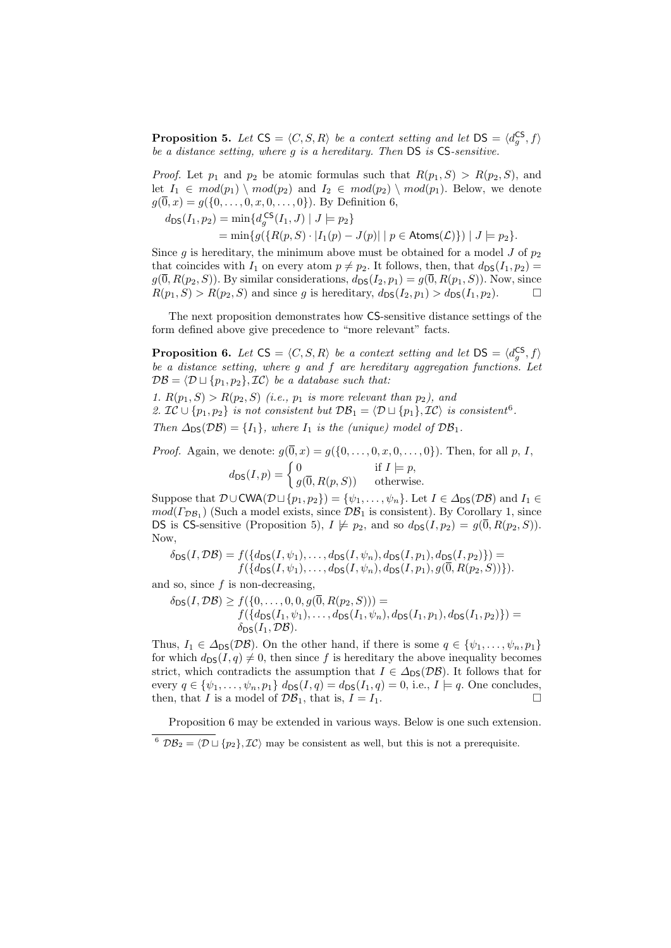**Proposition 5.** Let  $CS = \langle C, S, R \rangle$  be a context setting and let  $DS = \langle d_g^{\text{CS}}, f \rangle$ *be a distance setting, where g is a hereditary. Then* DS *is* CS*-sensitive.*

*Proof.* Let  $p_1$  and  $p_2$  be atomic formulas such that  $R(p_1, S) > R(p_2, S)$ , and let  $I_1 \in mod(p_1) \setminus mod(p_2)$  and  $I_2 \in mod(p_2) \setminus mod(p_1)$ . Below, we denote  $g(\overline{0}, x) = g({0, \ldots, 0, x, 0, \ldots, 0})$ . By Definition 6,

 $d_{\text{DS}}(I_1, p_2) = \min\{d_g^{\text{CS}}(I_1, J) \mid J \models p_2\}$ 

 $=$  min{ $g({R(p, S) \cdot |I_1(p) - J(p)| | p \in \text{Atoms}(\mathcal{L})}) | J | = p_2$ .

Since  $g$  is hereditary, the minimum above must be obtained for a model  $J$  of  $p_2$ that coincides with  $I_1$  on every atom  $p \neq p_2$ . It follows, then, that  $d_{DS}(I_1, p_2)$  $g(\overline{0}, R(p_2, S))$ . By similar considerations,  $d_{\text{DS}}(I_2, p_1) = g(\overline{0}, R(p_1, S))$ . Now, since  $R(p_1, S) > R(p_2, S)$  and since *g* is hereditary,  $d_{DS}(I_2, p_1) > d_{DS}(I_1, p_2)$ .

The next proposition demonstrates how CS-sensitive distance settings of the form defined above give precedence to "more relevant" facts.

**Proposition 6.** Let  $CS = \langle C, S, R \rangle$  be a context setting and let  $DS = \langle d_g^{\text{CS}}, f \rangle$ *be a distance setting, where g and f are hereditary aggregation functions. Let*  $\mathcal{DB} = \langle \mathcal{D} \sqcup \{p_1, p_2\}, \mathcal{IC} \rangle$  *be a database such that:* 

*1.*  $R(p_1, S) > R(p_2, S)$  *(i.e.,*  $p_1$  *is more relevant than*  $p_2$ *), and 2.*  $\mathcal{IC} \cup \{p_1, p_2\}$  *is not consistent but*  $\mathcal{DB}_1 = \langle \mathcal{D} \sqcup \{p_1\}, \mathcal{IC} \rangle$  *is consistent*<sup>6</sup>. *Then*  $\Delta_{DS}(\mathcal{DB}) = \{I_1\}$ *, where*  $I_1$  *is the (unique) model of*  $\mathcal{DB}_1$ *.* 

*Proof.* Again, we denote:  $g(\bar{0}, x) = g({0, \ldots, 0, x, 0, \ldots, 0})$ . Then, for all p, I,  $d_{\text{DS}}(I, p) = \begin{cases} 0 & \text{if } I \models p, \\ \frac{q(\overline{0}, p(\overline{p}, \overline{S}))}{p(\overline{p}, \overline{S})} & \text{otherwise} \end{cases}$  $g(\overline{0}, R(p, S))$  otherwise.

Suppose that  $\mathcal{D} \cup \text{CWA}(\mathcal{D} \sqcup \{p_1, p_2\}) = \{\psi_1, \ldots, \psi_n\}$ . Let  $I \in \Delta_{\text{DS}}(\mathcal{D}\mathcal{B})$  and  $I_1 \in$ *mod*( $\Gamma_{\text{DB}_1}$ ) (Such a model exists, since  $\mathcal{DB}_1$  is consistent). By Corollary 1, since DS is CS-sensitive (Proposition 5),  $I \not\models p_2$ , and so  $d_{DS}(I, p_2) = g(\overline{0}, R(p_2, S))$ . Now,

$$
\delta_{\text{DS}}(I, \mathcal{DB}) = f(\{d_{\text{DS}}(I, \psi_1), \dots, d_{\text{DS}}(I, \psi_n), d_{\text{DS}}(I, p_1), d_{\text{DS}}(I, p_2)\}) = f(\{d_{\text{DS}}(I, \psi_1), \dots, d_{\text{DS}}(I, \psi_n), d_{\text{DS}}(I, p_1), g(\overline{0}, R(p_2, S))\}).
$$

and so, since *f* is non-decreasing,

$$
\delta_{\text{DS}}(I, \mathcal{DB}) \ge f(\{0, \ldots, 0, 0, g(\overline{0}, R(p_2, S))) = f(\{d_{\text{DS}}(I_1, \psi_1), \ldots, d_{\text{DS}}(I_1, \psi_n), d_{\text{DS}}(I_1, p_1), d_{\text{DS}}(I_1, p_2)\}) = \delta_{\text{DS}}(I_1, \mathcal{DB}).
$$

Thus,  $I_1 \in \Delta_{\text{DS}}(\mathcal{DB})$ . On the other hand, if there is some  $q \in \{\psi_1, \ldots, \psi_n, p_1\}$ for which  $d_{DS}(I, q) \neq 0$ , then since f is hereditary the above inequality becomes strict, which contradicts the assumption that  $I \in \Delta_{DS}(\mathcal{DB})$ . It follows that for every  $q \in \{\psi_1, \ldots, \psi_n, p_1\}$   $d_{\text{DS}}(I, q) = d_{\text{DS}}(I_1, q) = 0$ , i.e.,  $I \models q$ . One concludes, then, that *I* is a model of  $\mathcal{DB}_1$ , that is,  $I = I_1$ .

Proposition 6 may be extended in various ways. Below is one such extension. <sup>6</sup>  $\mathcal{DB}_2 = \langle \mathcal{D} \cup \{p_2\}, \mathcal{IC} \rangle$  may be consistent as well, but this is not a prerequisite.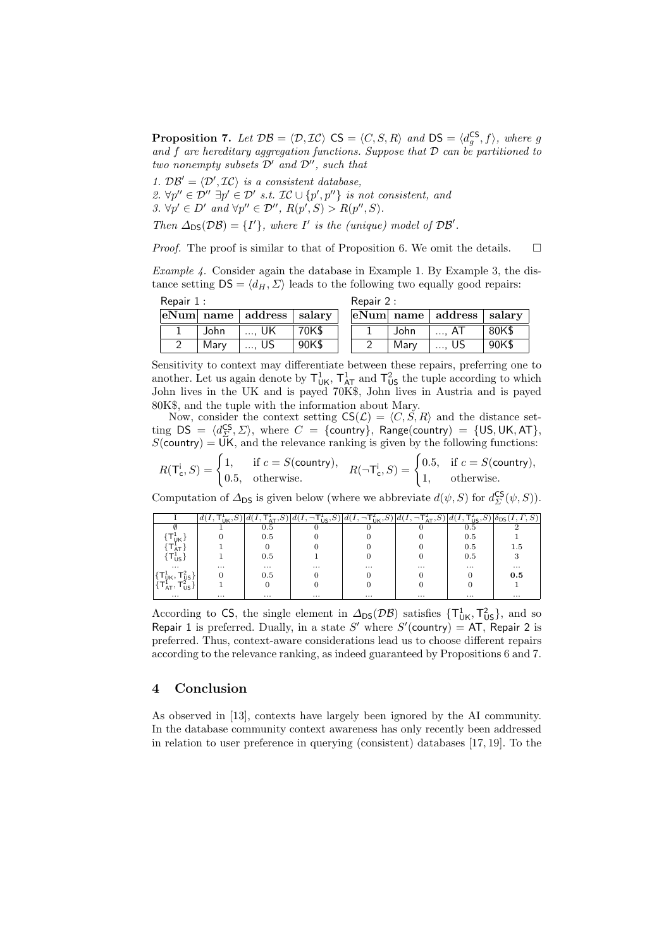**Proposition 7.** Let  $\mathcal{DB} = \langle \mathcal{D}, \mathcal{IC} \rangle$  CS =  $\langle C, S, R \rangle$  and  $DS = \langle d_g^{\mathsf{CS}}, f \rangle$ , where g *and f are hereditary aggregation functions. Suppose that D can be partitioned to two nonempty subsets D′ and D′′, such that*

*1.*  $\mathcal{DB}' = \langle \mathcal{D}', \mathcal{IC} \rangle$  *is a consistent database,* 

*2.*  $\forall p'' \in \mathcal{D}''$  ∃ $p' \in \mathcal{D}'$  *s.t. IC* ∪ { $p', p''$ } *is not consistent, and* 

*3.*  $\forall p' \in D'$  *and*  $\forall p'' \in D''$ ,  $R(p', S) > R(p'', S)$ .

*Then*  $\Delta_{DS}(\mathcal{DB}) = \{I'\}$ , where *I'* is the (unique) model of  $\mathcal{DB}'$ .

*Proof.* The proof is similar to that of Proposition 6. We omit the details.  $\Box$ 

*Example 4.* Consider again the database in Example 1. By Example 3, the distance setting  $DS = \langle d_H, \Sigma \rangle$  leads to the following two equally good repairs:

| Repair 1 : |      |                                  |       | Repair 2 : |      |                                      |       |  |
|------------|------|----------------------------------|-------|------------|------|--------------------------------------|-------|--|
|            |      | $ eNum $ name   address   salary |       |            |      | $ eNum $ name $ $ address $ $ salary |       |  |
|            | John | UK                               | 70K\$ |            | John |                                      | 80K\$ |  |
|            | Marv | …, US                            | 90K\$ |            | Marv |                                      | 90K\$ |  |

Sensitivity to context may differentiate between these repairs, preferring one to another. Let us again denote by  $T_{UK}^1$ ,  $T_{AT}^1$  and  $T_{US}^2$  the tuple according to which John lives in the UK and is payed 70K\$, John lives in Austria and is payed 80K\$, and the tuple with the information about Mary.

Now, consider the context setting  $CS(\mathcal{L}) = \langle C, S, R \rangle$  and the distance set- $\text{tting DS} = \langle d_{\Sigma}^{\text{CS}}, \Sigma \rangle$ , where  $C = \{\text{country}\}\$ , Range(country) =  $\{\text{US}, \text{UK}, \text{AT}\}\$  $S$ (country) = UK, and the relevance ranking is given by the following functions:

$$
R(\mathsf{T}_{\mathsf{c}}^{\mathsf{i}}, S) = \begin{cases} 1, & \text{if } c = S(\text{country}), \\ 0.5, & \text{otherwise.} \end{cases} \quad R(\neg \mathsf{T}_{\mathsf{c}}^{\mathsf{i}}, S) = \begin{cases} 0.5, & \text{if } c = S(\text{country}), \\ 1, & \text{otherwise.} \end{cases}
$$

Computation of  $\Delta_{DS}$  is given below (where we abbreviate  $d(\psi, S)$  for  $d_{\Sigma}^{CS}(\psi, S)$ ).

|                                           | d(I,<br>UK, D | $_{\alpha_{\tau}}^{1},S) d(I, \cdot) $ | $\neg$ T <sub>US</sub> , $\overline{S}$ ) $\overline{d(I)}$ | $\neg$ T <sub>UK</sub> , S) $\overline{d(I)}$ | $\mathsf{\Gamma}^2_{\mathsf{AT}}, S)$ |          | S)       |
|-------------------------------------------|---------------|----------------------------------------|-------------------------------------------------------------|-----------------------------------------------|---------------------------------------|----------|----------|
|                                           |               | 0.5                                    |                                                             |                                               |                                       | 0.5      | ◠        |
| <b>UK</b>                                 |               | 0.5                                    |                                                             |                                               |                                       | 0.5      |          |
| –                                         |               |                                        |                                                             |                                               |                                       | 0.5      | 1.5      |
| $\mathsf{T}^\mathfrak{l}_{\mathsf{US}}$ , |               | 0.5                                    |                                                             |                                               |                                       | 0.5      |          |
| $\cdots$                                  | $\cdots$      | $\cdots$                               | $\cdots$                                                    | $\cdots$                                      | $\cdots$                              | $\cdots$ | $\cdots$ |
| UK,<br>US.                                |               | 0.5                                    |                                                             |                                               |                                       |          | 0.5      |
| US.<br>$AT^{\bullet}$                     |               |                                        |                                                             |                                               |                                       |          |          |
| $\cdots$                                  | $\cdots$      | $\cdots$                               | $\cdots$                                                    | $\cdots$                                      | $\cdots$                              | $\cdots$ | $\cdots$ |

According to CS, the single element in  $\Delta_{DS}(\mathcal{DB})$  satisfies  $\{T^1_{UK}, T^2_{US}\}$ , and so Repair 1 is preferred. Dually, in a state  $S'$  where  $S'$  (country) = AT, Repair 2 is preferred. Thus, context-aware considerations lead us to choose different repairs according to the relevance ranking, as indeed guaranteed by Propositions 6 and 7.

## **4 Conclusion**

As observed in [13], contexts have largely been ignored by the AI community. In the database community context awareness has only recently been addressed in relation to user preference in querying (consistent) databases [17, 19]. To the